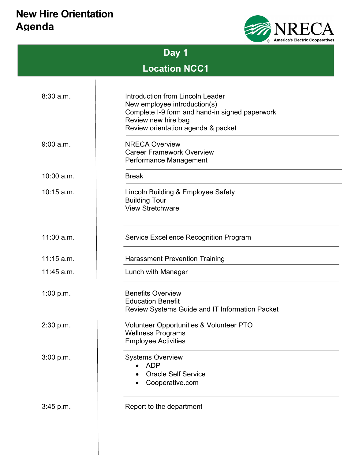## New Hire Orientation Agenda



| D<br>٠<br>₩. |  |
|--------------|--|
|--------------|--|

# Location NCC1

| 8:30a.m.     | Introduction from Lincoln Leader<br>New employee introduction(s)<br>Complete I-9 form and hand-in signed paperwork<br>Review new hire bag<br>Review orientation agenda & packet |  |
|--------------|---------------------------------------------------------------------------------------------------------------------------------------------------------------------------------|--|
| 9:00 a.m.    | <b>NRECA Overview</b><br><b>Career Framework Overview</b><br>Performance Management                                                                                             |  |
| $10:00$ a.m. | <b>Break</b>                                                                                                                                                                    |  |
| $10:15$ a.m. | Lincoln Building & Employee Safety<br><b>Building Tour</b><br><b>View Stretchware</b>                                                                                           |  |
| 11:00 a.m.   | Service Excellence Recognition Program                                                                                                                                          |  |
| $11:15$ a.m. | <b>Harassment Prevention Training</b>                                                                                                                                           |  |
| $11:45$ a.m. | Lunch with Manager                                                                                                                                                              |  |
| 1:00 p.m.    | <b>Benefits Overview</b><br><b>Education Benefit</b><br><b>Review Systems Guide and IT Information Packet</b>                                                                   |  |
| 2:30 p.m.    | Volunteer Opportunities & Volunteer PTO<br><b>Wellness Programs</b><br><b>Employee Activities</b>                                                                               |  |
| 3:00 p.m.    | <b>Systems Overview</b><br><b>ADP</b><br><b>Oracle Self Service</b><br>Cooperative.com                                                                                          |  |
| 3:45 p.m.    | Report to the department                                                                                                                                                        |  |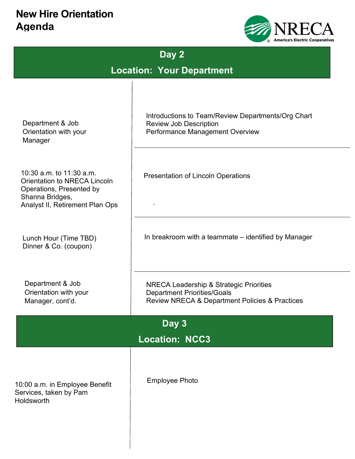## New Hire Orientation Agenda



# Day 2

Location: Your Department

| Department & Job<br>Orientation with your<br>Manager                                                                                       | Introductions to Team/Review Departments/Org Chart<br><b>Review Job Description</b><br><b>Performance Management Overview</b>              |  |  |  |
|--------------------------------------------------------------------------------------------------------------------------------------------|--------------------------------------------------------------------------------------------------------------------------------------------|--|--|--|
| 10:30 a.m. to 11:30 a.m.<br>Orientation to NRECA Lincoln<br>Operations, Presented by<br>Shanna Bridges,<br>Analyst II, Retirement Plan Ops | Presentation of Lincoln Operations                                                                                                         |  |  |  |
| Lunch Hour (Time TBD)<br>Dinner & Co. (coupon)                                                                                             | In breakroom with a teammate – identified by Manager                                                                                       |  |  |  |
| Department & Job<br>Orientation with your<br>Manager, cont'd.                                                                              | <b>NRECA Leadership &amp; Strategic Priorities</b><br><b>Department Priorities/Goals</b><br>Review NRECA & Department Policies & Practices |  |  |  |
| Day 3                                                                                                                                      |                                                                                                                                            |  |  |  |
| <b>Location: NCC3</b>                                                                                                                      |                                                                                                                                            |  |  |  |
| 10:00 a.m. in Employee Benefit<br>Services, taken by Pam<br>Holdsworth                                                                     | <b>Employee Photo</b>                                                                                                                      |  |  |  |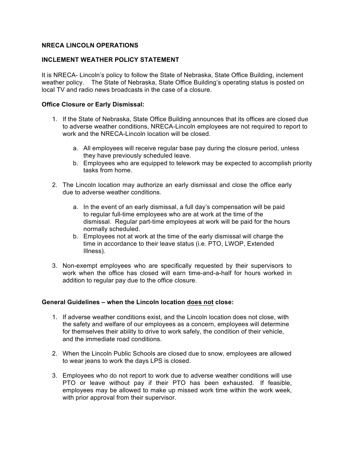#### **NRECA LINCOLN OPERATIONS**

#### **INCLEMENT WEATHER POLICY STATEMENT**

It is NRECA- Lincoln's policy to follow the State of Nebraska, State Office Building, inclement weather policy. The State of Nebraska, State Office Building's operating status is posted on local TV and radio news broadcasts in the case of a closure.

#### **Office Closure or Early Dismissal:**

- 1. If the State of Nebraska, State Office Building announces that its offices are closed due to adverse weather conditions, NRECA-Lincoln employees are not required to report to work and the NRECA-Lincoln location will be closed.
	- a. All employees will receive regular base pay during the closure period, unless they have previously scheduled leave.
	- b. Employees who are equipped to telework may be expected to accomplish priority tasks from home.
- 2. The Lincoln location may authorize an early dismissal and close the office early due to adverse weather conditions.
	- a. In the event of an early dismissal, a full day's compensation will be paid to regular full-time employees who are at work at the time of the dismissal. Regular part-time employees at work will be paid for the hours normally scheduled.
	- b. Employees not at work at the time of the early dismissal will charge the time in accordance to their leave status (i.e. PTO, LWOP, Extended Illness).
- 3. Non-exempt employees who are specifically requested by their supervisors to work when the office has closed will earn time-and-a-half for hours worked in addition to regular pay due to the office closure.

#### **General Guidelines – when the Lincoln location does not close:**

- 1. If adverse weather conditions exist, and the Lincoln location does not close, with the safety and welfare of our employees as a concern, employees will determine for themselves their ability to drive to work safely, the condition of their vehicle, and the immediate road conditions.
- 2. When the Lincoln Public Schools are closed due to snow, employees are allowed to wear jeans to work the days LPS is closed.
- 3. Employees who do not report to work due to adverse weather conditions will use PTO or leave without pay if their PTO has been exhausted. If feasible, employees may be allowed to make up missed work time within the work week, with prior approval from their supervisor.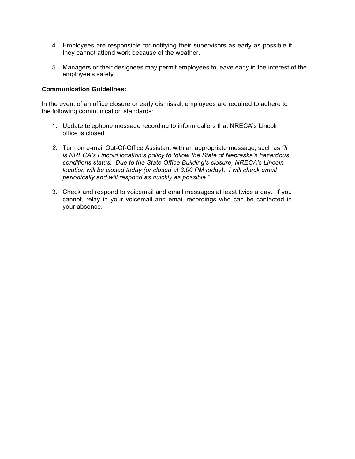- 4. Employees are responsible for notifying their supervisors as early as possible if they cannot attend work because of the weather.
- 5. Managers or their designees may permit employees to leave early in the interest of the employee's safety.

#### **Communication Guidelines:**

In the event of an office closure or early dismissal, employees are required to adhere to the following communication standards:

- 1. Update telephone message recording to inform callers that NRECA's Lincoln office is closed.
- *2.* Turn on e-mail Out-Of-Office Assistant with an appropriate message, such as *"It is NRECA's Lincoln location's policy to follow the State of Nebraska's hazardous conditions status. Due to the State Office Building's closure, NRECA's Lincoln location will be closed today (or closed at 3:00 PM today). I will check email periodically and will respond as quickly as possible."*
- 3. Check and respond to voicemail and email messages at least twice a day. If you cannot, relay in your voicemail and email recordings who can be contacted in your absence.